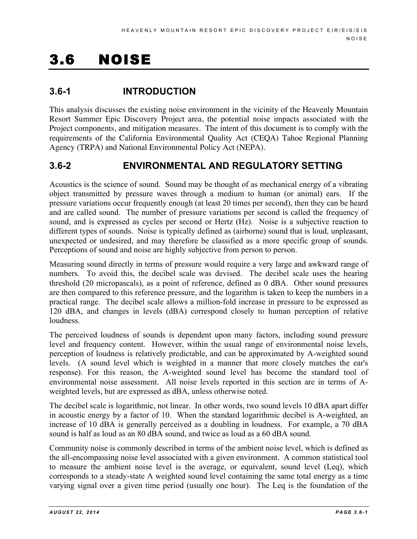# 3.6 NOISE

# **3.6-1 INTRODUCTION**

This analysis discusses the existing noise environment in the vicinity of the Heavenly Mountain Resort Summer Epic Discovery Project area, the potential noise impacts associated with the Project components, and mitigation measures. The intent of this document is to comply with the requirements of the California Environmental Quality Act (CEQA) Tahoe Regional Planning Agency (TRPA) and National Environmental Policy Act (NEPA).

# **3.6-2 ENVIRONMENTAL AND REGULATORY SETTING**

Acoustics is the science of sound. Sound may be thought of as mechanical energy of a vibrating object transmitted by pressure waves through a medium to human (or animal) ears. If the pressure variations occur frequently enough (at least 20 times per second), then they can be heard and are called sound. The number of pressure variations per second is called the frequency of sound, and is expressed as cycles per second or Hertz (Hz). Noise is a subjective reaction to different types of sounds. Noise is typically defined as (airborne) sound that is loud, unpleasant, unexpected or undesired, and may therefore be classified as a more specific group of sounds. Perceptions of sound and noise are highly subjective from person to person.

Measuring sound directly in terms of pressure would require a very large and awkward range of numbers. To avoid this, the decibel scale was devised. The decibel scale uses the hearing threshold (20 micropascals), as a point of reference, defined as 0 dBA. Other sound pressures are then compared to this reference pressure, and the logarithm is taken to keep the numbers in a practical range. The decibel scale allows a million-fold increase in pressure to be expressed as 120 dBA, and changes in levels (dBA) correspond closely to human perception of relative loudness.

The perceived loudness of sounds is dependent upon many factors, including sound pressure level and frequency content. However, within the usual range of environmental noise levels, perception of loudness is relatively predictable, and can be approximated by A-weighted sound levels. (A sound level which is weighted in a manner that more closely matches the ear's response). For this reason, the A-weighted sound level has become the standard tool of environmental noise assessment. All noise levels reported in this section are in terms of Aweighted levels, but are expressed as dBA, unless otherwise noted.

The decibel scale is logarithmic, not linear. In other words, two sound levels 10 dBA apart differ in acoustic energy by a factor of 10. When the standard logarithmic decibel is A-weighted, an increase of 10 dBA is generally perceived as a doubling in loudness. For example, a 70 dBA sound is half as loud as an 80 dBA sound, and twice as loud as a 60 dBA sound.

Community noise is commonly described in terms of the ambient noise level, which is defined as the all-encompassing noise level associated with a given environment. A common statistical tool to measure the ambient noise level is the average, or equivalent, sound level (Leq), which corresponds to a steady-state A weighted sound level containing the same total energy as a time varying signal over a given time period (usually one hour). The Leq is the foundation of the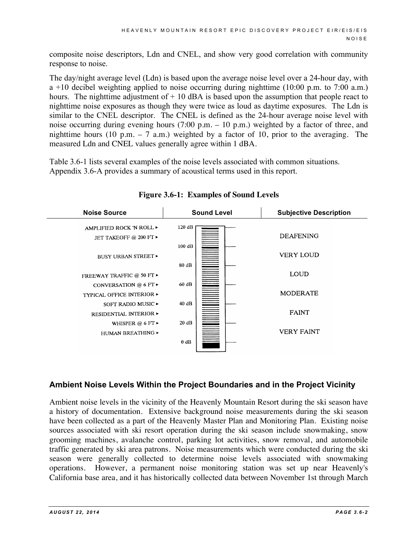composite noise descriptors, Ldn and CNEL, and show very good correlation with community response to noise.

The day/night average level (Ldn) is based upon the average noise level over a 24-hour day, with a +10 decibel weighting applied to noise occurring during nighttime  $(10:00 \text{ p.m. to } 7:00 \text{ a.m.})$ hours. The nighttime adjustment of  $+10$  dBA is based upon the assumption that people react to nighttime noise exposures as though they were twice as loud as daytime exposures. The Ldn is similar to the CNEL descriptor. The CNEL is defined as the 24-hour average noise level with noise occurring during evening hours (7:00 p.m. – 10 p.m.) weighted by a factor of three, and nighttime hours (10 p.m.  $-7$  a.m.) weighted by a factor of 10, prior to the averaging. The measured Ldn and CNEL values generally agree within 1 dBA.

Table 3.6-1 lists several examples of the noise levels associated with common situations. Appendix 3.6-A provides a summary of acoustical terms used in this report.



**Figure 3.6-1: Examples of Sound Levels**

## **Ambient Noise Levels Within the Project Boundaries and in the Project Vicinity**

Ambient noise levels in the vicinity of the Heavenly Mountain Resort during the ski season have a history of documentation. Extensive background noise measurements during the ski season have been collected as a part of the Heavenly Master Plan and Monitoring Plan. Existing noise sources associated with ski resort operation during the ski season include snowmaking, snow grooming machines, avalanche control, parking lot activities, snow removal, and automobile traffic generated by ski area patrons. Noise measurements which were conducted during the ski season were generally collected to determine noise levels associated with snowmaking operations. However, a permanent noise monitoring station was set up near Heavenly's California base area, and it has historically collected data between November 1st through March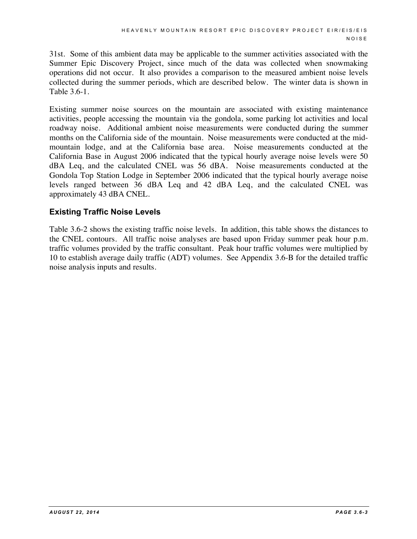31st. Some of this ambient data may be applicable to the summer activities associated with the Summer Epic Discovery Project, since much of the data was collected when snowmaking operations did not occur. It also provides a comparison to the measured ambient noise levels collected during the summer periods, which are described below. The winter data is shown in Table 3.6-1.

Existing summer noise sources on the mountain are associated with existing maintenance activities, people accessing the mountain via the gondola, some parking lot activities and local roadway noise. Additional ambient noise measurements were conducted during the summer months on the California side of the mountain. Noise measurements were conducted at the midmountain lodge, and at the California base area. Noise measurements conducted at the California Base in August 2006 indicated that the typical hourly average noise levels were 50 dBA Leq, and the calculated CNEL was 56 dBA. Noise measurements conducted at the Gondola Top Station Lodge in September 2006 indicated that the typical hourly average noise levels ranged between 36 dBA Leq and 42 dBA Leq, and the calculated CNEL was approximately 43 dBA CNEL.

## **Existing Traffic Noise Levels**

Table 3.6-2 shows the existing traffic noise levels. In addition, this table shows the distances to the CNEL contours. All traffic noise analyses are based upon Friday summer peak hour p.m. traffic volumes provided by the traffic consultant. Peak hour traffic volumes were multiplied by 10 to establish average daily traffic (ADT) volumes. See Appendix 3.6-B for the detailed traffic noise analysis inputs and results.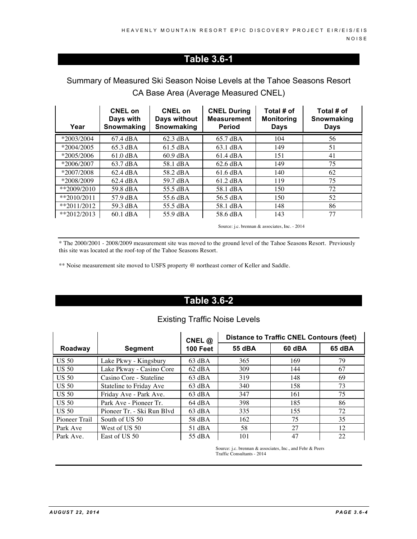# **Table 3.6-1**

# Summary of Measured Ski Season Noise Levels at the Tahoe Seasons Resort CA Base Area (Average Measured CNEL)

| Year          | <b>CNEL on</b><br>Days with<br>Snowmaking | <b>CNEL on</b><br>Days without<br>Snowmaking | <b>CNEL During</b><br><b>Measurement</b><br><b>Period</b> | Total # of<br><b>Monitoring</b><br>Days | Total # of<br>Snowmaking<br><b>Days</b> |
|---------------|-------------------------------------------|----------------------------------------------|-----------------------------------------------------------|-----------------------------------------|-----------------------------------------|
| *2003/2004    | $67.4 \text{ dBA}$                        | $62.3 \text{ dBA}$                           | 65.7 dBA                                                  | 104                                     | 56                                      |
| $*2004/2005$  | 65.3 dBA                                  | $61.5 \text{ dBA}$                           | 63.1 dBA                                                  | 149                                     | 51                                      |
| $*2005/2006$  | $61.0 \text{ dBA}$                        | $60.9 \text{ dBA}$                           | 61.4 dBA                                                  | 151                                     | 41                                      |
| $*2006/2007$  | 63.7 dBA                                  | 58.1 dBA                                     | $62.6 \text{ dBA}$                                        | 149                                     | 75                                      |
| $*2007/2008$  | $62.4 \text{ dBA}$                        | 58.2 dBA                                     | 61.6 dBA                                                  | 140                                     | 62                                      |
| *2008/2009    | $62.4 \text{ dBA}$                        | 59.7 dBA                                     | 61.2 dBA                                                  | 119                                     | 75                                      |
| $*2009/2010$  | 59.8 dBA                                  | 55.5 dBA                                     | 58.1 dBA                                                  | 150                                     | 72                                      |
| $*$ 2010/2011 | 57.9 dBA                                  | 55.6 dBA                                     | 56.5 dBA                                                  | 150                                     | 52                                      |
| $*$ 2011/2012 | 59.3 dBA                                  | 55.5 dBA                                     | 58.1 dBA                                                  | 148                                     | 86                                      |
| $*2012/2013$  | $60.1$ dBA                                | 55.9 dBA                                     | 58.6 dBA                                                  | 143                                     | 77                                      |

Source: j.c. brennan & associates, Inc. - 2014

\* The 2000/2001 - 2008/2009 measurement site was moved to the ground level of the Tahoe Seasons Resort. Previously this site was located at the roof-top of the Tahoe Seasons Resort.

\*\* Noise measurement site moved to USFS property @ northeast corner of Keller and Saddle.

# **Table 3.6-2**

## Existing Traffic Noise Levels

|               |                            | CNEL $@$          | <b>Distance to Traffic CNEL Contours (feet)</b> |        |        |  |
|---------------|----------------------------|-------------------|-------------------------------------------------|--------|--------|--|
| Roadway       | <b>Segment</b>             | <b>100 Feet</b>   | 55 dBA                                          | 60 dBA | 65 dBA |  |
| <b>US 50</b>  | Lake Pkwy - Kingsbury      | $63$ dBA          | 365                                             | 169    | 79     |  |
| <b>US 50</b>  | Lake Pkway - Casino Core   | $62$ dBA          | 309                                             | 144    | 67     |  |
| <b>US 50</b>  | Casino Core - Stateline    | $63$ dBA          | 319                                             | 148    | 69     |  |
| <b>US 50</b>  | Stateline to Friday Ave    | $63$ dBA          | 340                                             | 158    | 73     |  |
| <b>US 50</b>  | Friday Ave - Park Ave.     | $63$ dBA          | 347                                             | 161    | 75     |  |
| <b>US 50</b>  | Park Ave - Pioneer Tr.     | $64 \text{ dB}$ A | 398                                             | 185    | 86     |  |
| <b>US 50</b>  | Pioneer Tr. - Ski Run Blyd | $63 \text{ dBA}$  | 335                                             | 155    | 72     |  |
| Pioneer Trail | South of US 50             | 58 dBA            | 162                                             | 75     | 35     |  |
| Park Ave      | West of US 50              | $51$ dBA          | 58                                              | 27     | 12     |  |
| Park Ave.     | East of US 50              | 55 dBA            | 101                                             | 47     | 22     |  |

Source: j.c. brennan & associates, Inc., and Fehr & Peers Traffic Consultants - 2014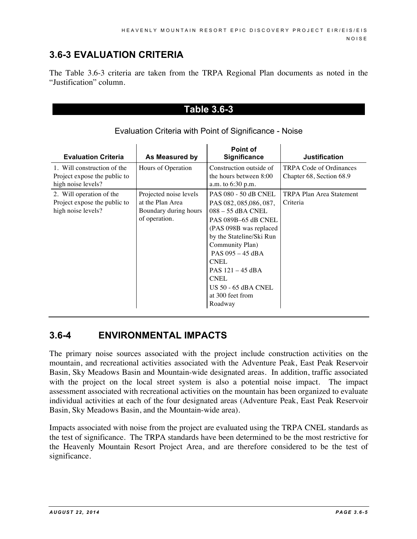# **3.6-3 EVALUATION CRITERIA**

The Table 3.6-3 criteria are taken from the TRPA Regional Plan documents as noted in the "Justification" column.

## **Table 3.6-3**

| <b>Evaluation Criteria</b>                                                        | As Measured by                                                                       | Point of<br><b>Significance</b>                                                                                                                                                                                                                                                                                   | <b>Justification</b>                                |
|-----------------------------------------------------------------------------------|--------------------------------------------------------------------------------------|-------------------------------------------------------------------------------------------------------------------------------------------------------------------------------------------------------------------------------------------------------------------------------------------------------------------|-----------------------------------------------------|
| 1. Will construction of the<br>Project expose the public to<br>high noise levels? | Hours of Operation                                                                   | Construction outside of<br>the hours between 8:00<br>a.m. to 6:30 p.m.                                                                                                                                                                                                                                            | TRPA Code of Ordinances<br>Chapter 68, Section 68.9 |
| 2. Will operation of the<br>Project expose the public to<br>high noise levels?    | Projected noise levels<br>at the Plan Area<br>Boundary during hours<br>of operation. | <b>PAS 080 - 50 dB CNEL</b><br>PAS 082, 085, 086, 087,<br>$088 - 55$ dBA CNEL<br>PAS 089B-65 dB CNEL<br>(PAS 098B was replaced)<br>by the Stateline/Ski Run<br>Community Plan)<br>PAS 095 - 45 dBA<br><b>CNEL</b><br>PAS 121 - 45 dBA<br><b>CNEL</b><br><b>US 50 - 65 dBA CNEL</b><br>at 300 feet from<br>Roadway | <b>TRPA Plan Area Statement</b><br>Criteria         |

## Evaluation Criteria with Point of Significance - Noise

# **3.6-4 ENVIRONMENTAL IMPACTS**

The primary noise sources associated with the project include construction activities on the mountain, and recreational activities associated with the Adventure Peak, East Peak Reservoir Basin, Sky Meadows Basin and Mountain-wide designated areas. In addition, traffic associated with the project on the local street system is also a potential noise impact. The impact assessment associated with recreational activities on the mountain has been organized to evaluate individual activities at each of the four designated areas (Adventure Peak, East Peak Reservoir Basin, Sky Meadows Basin, and the Mountain-wide area).

Impacts associated with noise from the project are evaluated using the TRPA CNEL standards as the test of significance. The TRPA standards have been determined to be the most restrictive for the Heavenly Mountain Resort Project Area, and are therefore considered to be the test of significance.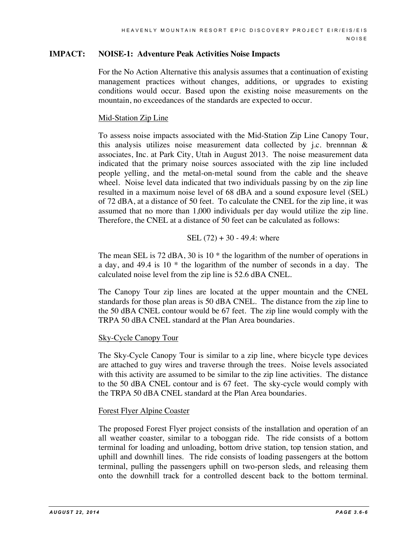## **IMPACT: NOISE-1: Adventure Peak Activities Noise Impacts**

For the No Action Alternative this analysis assumes that a continuation of existing management practices without changes, additions, or upgrades to existing conditions would occur. Based upon the existing noise measurements on the mountain, no exceedances of the standards are expected to occur.

## Mid-Station Zip Line

To assess noise impacts associated with the Mid-Station Zip Line Canopy Tour, this analysis utilizes noise measurement data collected by j.c. brennnan  $\&$ associates, Inc. at Park City, Utah in August 2013. The noise measurement data indicated that the primary noise sources associated with the zip line included people yelling, and the metal-on-metal sound from the cable and the sheave wheel. Noise level data indicated that two individuals passing by on the zip line resulted in a maximum noise level of 68 dBA and a sound exposure level (SEL) of 72 dBA, at a distance of 50 feet. To calculate the CNEL for the zip line, it was assumed that no more than 1,000 individuals per day would utilize the zip line. Therefore, the CNEL at a distance of 50 feet can be calculated as follows:

## SEL  $(72) + 30 - 49.4$ : where

The mean SEL is 72 dBA, 30 is 10<sup>\*</sup> the logarithm of the number of operations in a day, and 49.4 is 10 \* the logarithm of the number of seconds in a day. The calculated noise level from the zip line is 52.6 dBA CNEL.

The Canopy Tour zip lines are located at the upper mountain and the CNEL standards for those plan areas is 50 dBA CNEL. The distance from the zip line to the 50 dBA CNEL contour would be 67 feet. The zip line would comply with the TRPA 50 dBA CNEL standard at the Plan Area boundaries.

## Sky-Cycle Canopy Tour

The Sky-Cycle Canopy Tour is similar to a zip line, where bicycle type devices are attached to guy wires and traverse through the trees. Noise levels associated with this activity are assumed to be similar to the zip line activities. The distance to the 50 dBA CNEL contour and is 67 feet. The sky-cycle would comply with the TRPA 50 dBA CNEL standard at the Plan Area boundaries.

## Forest Flyer Alpine Coaster

The proposed Forest Flyer project consists of the installation and operation of an all weather coaster, similar to a toboggan ride. The ride consists of a bottom terminal for loading and unloading, bottom drive station, top tension station, and uphill and downhill lines. The ride consists of loading passengers at the bottom terminal, pulling the passengers uphill on two-person sleds, and releasing them onto the downhill track for a controlled descent back to the bottom terminal.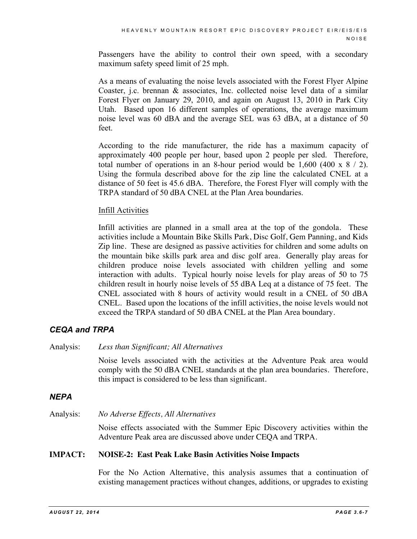Passengers have the ability to control their own speed, with a secondary maximum safety speed limit of 25 mph.

As a means of evaluating the noise levels associated with the Forest Flyer Alpine Coaster, j.c. brennan & associates, Inc. collected noise level data of a similar Forest Flyer on January 29, 2010, and again on August 13, 2010 in Park City Utah. Based upon 16 different samples of operations, the average maximum noise level was 60 dBA and the average SEL was 63 dBA, at a distance of 50 feet.

According to the ride manufacturer, the ride has a maximum capacity of approximately 400 people per hour, based upon 2 people per sled. Therefore, total number of operations in an 8-hour period would be  $1,600$  (400 x  $8/2$ ). Using the formula described above for the zip line the calculated CNEL at a distance of 50 feet is 45.6 dBA. Therefore, the Forest Flyer will comply with the TRPA standard of 50 dBA CNEL at the Plan Area boundaries.

## Infill Activities

Infill activities are planned in a small area at the top of the gondola. These activities include a Mountain Bike Skills Park, Disc Golf, Gem Panning, and Kids Zip line. These are designed as passive activities for children and some adults on the mountain bike skills park area and disc golf area. Generally play areas for children produce noise levels associated with children yelling and some interaction with adults. Typical hourly noise levels for play areas of 50 to 75 children result in hourly noise levels of 55 dBA Leq at a distance of 75 feet. The CNEL associated with 8 hours of activity would result in a CNEL of 50 dBA CNEL. Based upon the locations of the infill activities, the noise levels would not exceed the TRPA standard of 50 dBA CNEL at the Plan Area boundary.

## *CEQA and TRPA*

Analysis: *Less than Significant; All Alternatives*

Noise levels associated with the activities at the Adventure Peak area would comply with the 50 dBA CNEL standards at the plan area boundaries. Therefore, this impact is considered to be less than significant.

## *NEPA*

Analysis: *No Adverse Effects, All Alternatives*

Noise effects associated with the Summer Epic Discovery activities within the Adventure Peak area are discussed above under CEQA and TRPA.

## **IMPACT: NOISE-2: East Peak Lake Basin Activities Noise Impacts**

For the No Action Alternative, this analysis assumes that a continuation of existing management practices without changes, additions, or upgrades to existing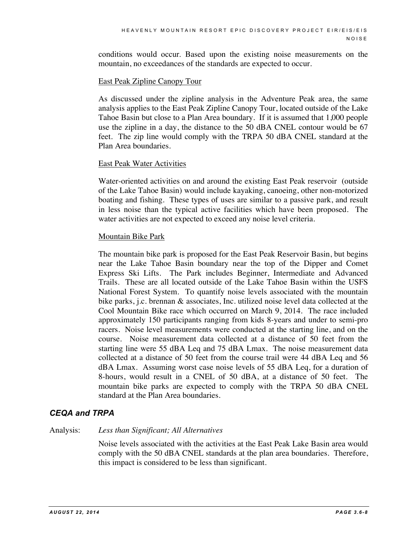conditions would occur. Based upon the existing noise measurements on the mountain, no exceedances of the standards are expected to occur.

#### East Peak Zipline Canopy Tour

As discussed under the zipline analysis in the Adventure Peak area, the same analysis applies to the East Peak Zipline Canopy Tour, located outside of the Lake Tahoe Basin but close to a Plan Area boundary. If it is assumed that 1,000 people use the zipline in a day, the distance to the 50 dBA CNEL contour would be 67 feet. The zip line would comply with the TRPA 50 dBA CNEL standard at the Plan Area boundaries.

#### East Peak Water Activities

Water-oriented activities on and around the existing East Peak reservoir (outside of the Lake Tahoe Basin) would include kayaking, canoeing, other non-motorized boating and fishing. These types of uses are similar to a passive park, and result in less noise than the typical active facilities which have been proposed. The water activities are not expected to exceed any noise level criteria.

## Mountain Bike Park

The mountain bike park is proposed for the East Peak Reservoir Basin, but begins near the Lake Tahoe Basin boundary near the top of the Dipper and Comet Express Ski Lifts. The Park includes Beginner, Intermediate and Advanced Trails. These are all located outside of the Lake Tahoe Basin within the USFS National Forest System. To quantify noise levels associated with the mountain bike parks, j.c. brennan & associates, Inc. utilized noise level data collected at the Cool Mountain Bike race which occurred on March 9, 2014. The race included approximately 150 participants ranging from kids 8-years and under to semi-pro racers. Noise level measurements were conducted at the starting line, and on the course. Noise measurement data collected at a distance of 50 feet from the starting line were 55 dBA Leq and 75 dBA Lmax. The noise measurement data collected at a distance of 50 feet from the course trail were 44 dBA Leq and 56 dBA Lmax. Assuming worst case noise levels of 55 dBA Leq, for a duration of 8-hours, would result in a CNEL of 50 dBA, at a distance of 50 feet. The mountain bike parks are expected to comply with the TRPA 50 dBA CNEL standard at the Plan Area boundaries.

## *CEQA and TRPA*

#### Analysis: *Less than Significant; All Alternatives*

Noise levels associated with the activities at the East Peak Lake Basin area would comply with the 50 dBA CNEL standards at the plan area boundaries. Therefore, this impact is considered to be less than significant.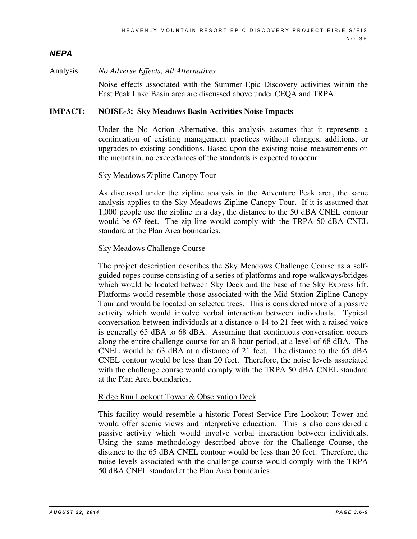## *NEPA*

#### Analysis: *No Adverse Effects, All Alternatives*

Noise effects associated with the Summer Epic Discovery activities within the East Peak Lake Basin area are discussed above under CEQA and TRPA.

#### **IMPACT: NOISE-3: Sky Meadows Basin Activities Noise Impacts**

Under the No Action Alternative, this analysis assumes that it represents a continuation of existing management practices without changes, additions, or upgrades to existing conditions. Based upon the existing noise measurements on the mountain, no exceedances of the standards is expected to occur.

#### Sky Meadows Zipline Canopy Tour

As discussed under the zipline analysis in the Adventure Peak area, the same analysis applies to the Sky Meadows Zipline Canopy Tour. If it is assumed that 1,000 people use the zipline in a day, the distance to the 50 dBA CNEL contour would be 67 feet. The zip line would comply with the TRPA 50 dBA CNEL standard at the Plan Area boundaries.

#### Sky Meadows Challenge Course

The project description describes the Sky Meadows Challenge Course as a selfguided ropes course consisting of a series of platforms and rope walkways/bridges which would be located between Sky Deck and the base of the Sky Express lift. Platforms would resemble those associated with the Mid-Station Zipline Canopy Tour and would be located on selected trees. This is considered more of a passive activity which would involve verbal interaction between individuals. Typical conversation between individuals at a distance o 14 to 21 feet with a raised voice is generally 65 dBA to 68 dBA. Assuming that continuous conversation occurs along the entire challenge course for an 8-hour period, at a level of 68 dBA. The CNEL would be 63 dBA at a distance of 21 feet. The distance to the 65 dBA CNEL contour would be less than 20 feet. Therefore, the noise levels associated with the challenge course would comply with the TRPA 50 dBA CNEL standard at the Plan Area boundaries.

#### Ridge Run Lookout Tower & Observation Deck

This facility would resemble a historic Forest Service Fire Lookout Tower and would offer scenic views and interpretive education. This is also considered a passive activity which would involve verbal interaction between individuals. Using the same methodology described above for the Challenge Course, the distance to the 65 dBA CNEL contour would be less than 20 feet. Therefore, the noise levels associated with the challenge course would comply with the TRPA 50 dBA CNEL standard at the Plan Area boundaries.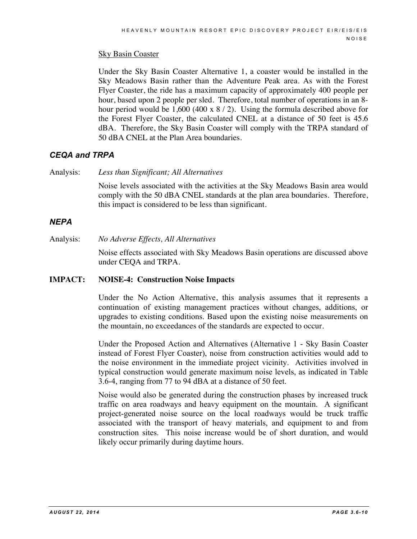## **Sky Basin Coaster**

Under the Sky Basin Coaster Alternative 1, a coaster would be installed in the Sky Meadows Basin rather than the Adventure Peak area. As with the Forest Flyer Coaster, the ride has a maximum capacity of approximately 400 people per hour, based upon 2 people per sled. Therefore, total number of operations in an 8hour period would be  $1,600$  (400 x  $8/2$ ). Using the formula described above for the Forest Flyer Coaster, the calculated CNEL at a distance of 50 feet is 45.6 dBA. Therefore, the Sky Basin Coaster will comply with the TRPA standard of 50 dBA CNEL at the Plan Area boundaries.

## *CEQA and TRPA*

Analysis: *Less than Significant; All Alternatives*

Noise levels associated with the activities at the Sky Meadows Basin area would comply with the 50 dBA CNEL standards at the plan area boundaries. Therefore, this impact is considered to be less than significant.

## *NEPA*

Analysis: *No Adverse Effects, All Alternatives*

Noise effects associated with Sky Meadows Basin operations are discussed above under CEQA and TRPA.

## **IMPACT: NOISE-4: Construction Noise Impacts**

Under the No Action Alternative, this analysis assumes that it represents a continuation of existing management practices without changes, additions, or upgrades to existing conditions. Based upon the existing noise measurements on the mountain, no exceedances of the standards are expected to occur.

Under the Proposed Action and Alternatives (Alternative 1 - Sky Basin Coaster instead of Forest Flyer Coaster), noise from construction activities would add to the noise environment in the immediate project vicinity. Activities involved in typical construction would generate maximum noise levels, as indicated in Table 3.6-4, ranging from 77 to 94 dBA at a distance of 50 feet.

Noise would also be generated during the construction phases by increased truck traffic on area roadways and heavy equipment on the mountain. A significant project-generated noise source on the local roadways would be truck traffic associated with the transport of heavy materials, and equipment to and from construction sites. This noise increase would be of short duration, and would likely occur primarily during daytime hours.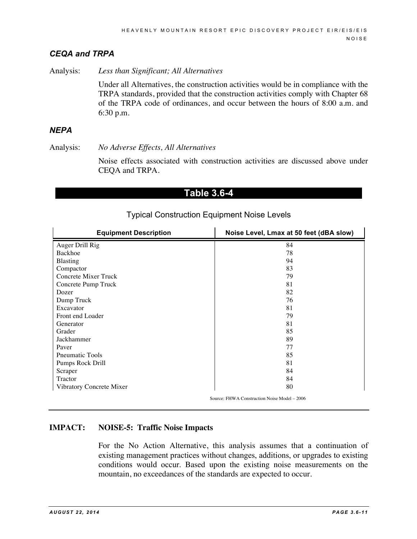## *CEQA and TRPA*

Analysis: *Less than Significant; All Alternatives*

Under all Alternatives, the construction activities would be in compliance with the TRPA standards, provided that the construction activities comply with Chapter 68 of the TRPA code of ordinances, and occur between the hours of 8:00 a.m. and 6:30 p.m.

## *NEPA*

Analysis: *No Adverse Effects, All Alternatives*

Noise effects associated with construction activities are discussed above under CEQA and TRPA.

## **Table 3.6-4**

| <b>Equipment Description</b> | Noise Level, Lmax at 50 feet (dBA slow)      |  |  |  |
|------------------------------|----------------------------------------------|--|--|--|
| Auger Drill Rig              | 84                                           |  |  |  |
| Backhoe                      | 78                                           |  |  |  |
| <b>Blasting</b>              | 94                                           |  |  |  |
| Compactor                    | 83                                           |  |  |  |
| <b>Concrete Mixer Truck</b>  | 79                                           |  |  |  |
| Concrete Pump Truck          | 81                                           |  |  |  |
| Dozer                        | 82                                           |  |  |  |
| Dump Truck                   | 76                                           |  |  |  |
| Excavator                    | 81                                           |  |  |  |
| Front end Loader             | 79                                           |  |  |  |
| Generator                    | 81                                           |  |  |  |
| Grader                       | 85                                           |  |  |  |
| Jackhammer                   | 89                                           |  |  |  |
| Paver                        | 77                                           |  |  |  |
| <b>Pneumatic Tools</b>       | 85                                           |  |  |  |
| Pumps Rock Drill             | 81                                           |  |  |  |
| Scraper                      | 84                                           |  |  |  |
| Tractor                      | 84                                           |  |  |  |
| Vibratory Concrete Mixer     | 80                                           |  |  |  |
|                              | Source: FHWA Construction Noise Model - 2006 |  |  |  |

## Typical Construction Equipment Noise Levels

## **IMPACT: NOISE-5: Traffic Noise Impacts**

For the No Action Alternative, this analysis assumes that a continuation of existing management practices without changes, additions, or upgrades to existing conditions would occur. Based upon the existing noise measurements on the mountain, no exceedances of the standards are expected to occur.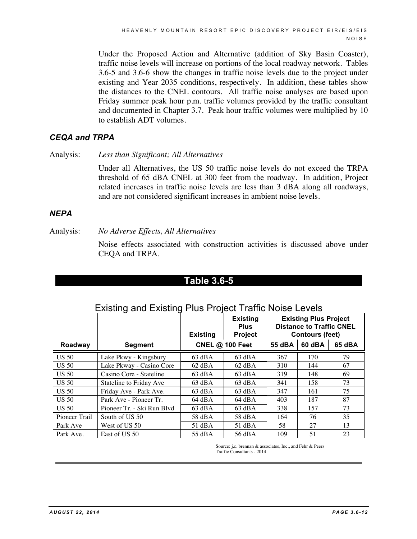Under the Proposed Action and Alternative (addition of Sky Basin Coaster), traffic noise levels will increase on portions of the local roadway network. Tables 3.6-5 and 3.6-6 show the changes in traffic noise levels due to the project under existing and Year 2035 conditions, respectively. In addition, these tables show the distances to the CNEL contours. All traffic noise analyses are based upon Friday summer peak hour p.m. traffic volumes provided by the traffic consultant and documented in Chapter 3.7. Peak hour traffic volumes were multiplied by 10 to establish ADT volumes.

## *CEQA and TRPA*

Analysis: *Less than Significant; All Alternatives*

Under all Alternatives, the US 50 traffic noise levels do not exceed the TRPA threshold of 65 dBA CNEL at 300 feet from the roadway. In addition, Project related increases in traffic noise levels are less than 3 dBA along all roadways, and are not considered significant increases in ambient noise levels.

## *NEPA*

Analysis: *No Adverse Effects, All Alternatives*

Noise effects associated with construction activities is discussed above under CEQA and TRPA.

# **Table 3.6-5**

## Existing and Existing Plus Project Traffic Noise Levels

|               |                            | <b>Existing</b>        | <b>Existing</b><br><b>Plus</b><br>Project | <b>Existing Plus Project</b><br><b>Distance to Traffic CNEL</b><br><b>Contours (feet)</b> |        |        |
|---------------|----------------------------|------------------------|-------------------------------------------|-------------------------------------------------------------------------------------------|--------|--------|
| Roadway       | Segment                    | <b>CNEL @ 100 Feet</b> |                                           | 55 dBA                                                                                    | 60 dBA | 65 dBA |
| <b>US 50</b>  | Lake Pkwy - Kingsbury      | $63$ dBA               | $63$ dBA                                  | 367                                                                                       | 170    | 79     |
| <b>US 50</b>  | Lake Pkway - Casino Core   | $62$ dBA               | $62$ dBA                                  | 310                                                                                       | 144    | 67     |
| <b>US 50</b>  | Casino Core - Stateline    | $63$ dBA               | $63$ dBA                                  | 319                                                                                       | 148    | 69     |
| <b>US 50</b>  | Stateline to Friday Ave    | $63 \text{ dBA}$       | $63 \text{ dBA}$                          | 341                                                                                       | 158    | 73     |
| <b>US 50</b>  | Friday Ave - Park Ave.     | $63$ dBA               | $63 \text{ dBA}$                          | 347                                                                                       | 161    | 75     |
| <b>US 50</b>  | Park Ave - Pioneer Tr.     | $64$ dBA               | 64 dBA                                    | 403                                                                                       | 187    | 87     |
| <b>US 50</b>  | Pioneer Tr. - Ski Run Blyd | $63 \text{ dBA}$       | $63$ dBA                                  | 338                                                                                       | 157    | 73     |
| Pioneer Trail | South of US 50             | 58 dBA                 | 58 dBA                                    | 164                                                                                       | 76     | 35     |
| Park Ave      | West of US 50              | $51$ dBA               | $51$ dBA                                  | 58                                                                                        | 27     | 13     |
| Park Ave.     | East of US 50              | 55 dBA                 | 56 dBA                                    | 109                                                                                       | 51     | 23     |

Source: *i.c.* brennan & associates, Inc., and Fehr & Peers Traffic Consultants - 2014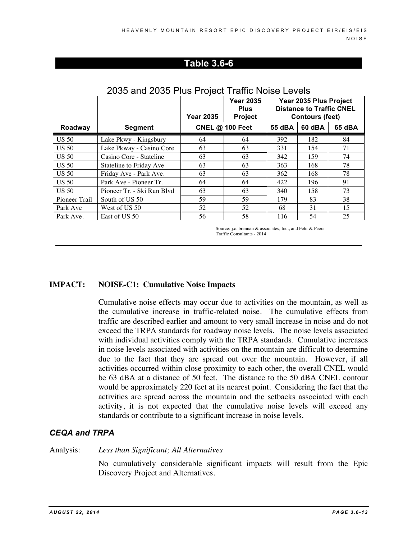## **Table 3.6-6**

|               |                                | <b>Year 2035</b> | <b>Year 2035</b><br><b>Plus</b><br><b>Project</b> | Year 2035 Plus Project<br><b>Distance to Traffic CNEL</b><br><b>Contours (feet)</b> |        |        |
|---------------|--------------------------------|------------------|---------------------------------------------------|-------------------------------------------------------------------------------------|--------|--------|
| Roadway       | <b>Segment</b>                 |                  | <b>CNEL @ 100 Feet</b>                            | 55 dBA                                                                              | 60 dBA | 65 dBA |
| <b>US 50</b>  | Lake Pkwy - Kingsbury          | 64               | 64                                                | 392                                                                                 | 182    | 84     |
| <b>US 50</b>  | Lake Pkway - Casino Core       | 63               | 63                                                | 331                                                                                 | 154    | 71     |
| <b>US 50</b>  | Casino Core - Stateline        | 63               | 63                                                | 342                                                                                 | 159    | 74     |
| <b>US 50</b>  | <b>Stateline to Friday Ave</b> | 63               | 63                                                | 363                                                                                 | 168    | 78     |
| <b>US 50</b>  | Friday Ave - Park Ave.         | 63               | 63                                                | 362                                                                                 | 168    | 78     |
| <b>US 50</b>  | Park Ave - Pioneer Tr.         | 64               | 64                                                | 422                                                                                 | 196    | 91     |
| <b>US 50</b>  | Pioneer Tr. - Ski Run Blvd     | 63               | 63                                                | 340                                                                                 | 158    | 73     |
| Pioneer Trail | South of US 50                 | 59               | 59                                                | 179                                                                                 | 83     | 38     |
| Park Ave      | West of US 50                  | 52               | 52                                                | 68                                                                                  | 31     | 15     |
| Park Ave.     | East of US 50                  | 56               | 58                                                | 116                                                                                 | 54     | 25     |

# 2035 and 2035 Plus Project Traffic Noise Levels

Source: j.c. brennan & associates, Inc., and Fehr & Peers Traffic Consultants - 2014

## **IMPACT: NOISE-C1: Cumulative Noise Impacts**

Cumulative noise effects may occur due to activities on the mountain, as well as the cumulative increase in traffic-related noise. The cumulative effects from traffic are described earlier and amount to very small increase in noise and do not exceed the TRPA standards for roadway noise levels. The noise levels associated with individual activities comply with the TRPA standards. Cumulative increases in noise levels associated with activities on the mountain are difficult to determine due to the fact that they are spread out over the mountain. However, if all activities occurred within close proximity to each other, the overall CNEL would be 63 dBA at a distance of 50 feet. The distance to the 50 dBA CNEL contour would be approximately 220 feet at its nearest point. Considering the fact that the activities are spread across the mountain and the setbacks associated with each activity, it is not expected that the cumulative noise levels will exceed any standards or contribute to a significant increase in noise levels.

## *CEQA and TRPA*

Analysis: *Less than Significant; All Alternatives*

No cumulatively considerable significant impacts will result from the Epic Discovery Project and Alternatives.